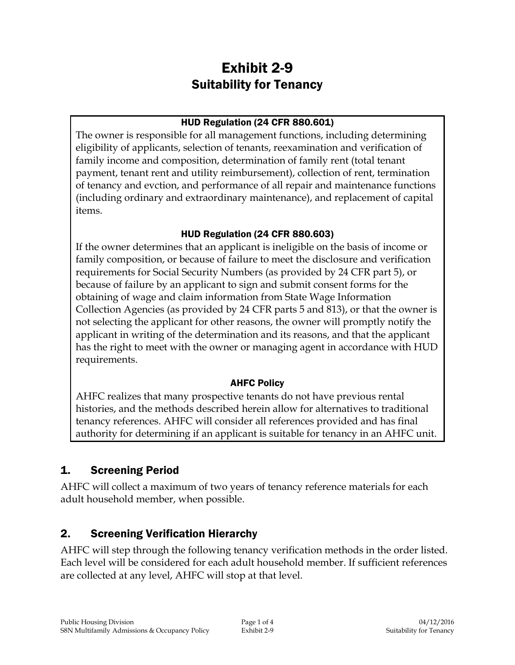# Exhibit 2-9 Suitability for Tenancy

#### HUD Regulation (24 CFR 880.601)

The owner is responsible for all management functions, including determining eligibility of applicants, selection of tenants, reexamination and verification of family income and composition, determination of family rent (total tenant payment, tenant rent and utility reimbursement), collection of rent, termination of tenancy and evction, and performance of all repair and maintenance functions (including ordinary and extraordinary maintenance), and replacement of capital items.

# HUD Regulation (24 CFR 880.603)

If the owner determines that an applicant is ineligible on the basis of income or family composition, or because of failure to meet the disclosure and verification requirements for Social Security Numbers (as provided by 24 CFR part 5), or because of failure by an applicant to sign and submit consent forms for the obtaining of wage and claim information from State Wage Information Collection Agencies (as provided by 24 CFR parts 5 and 813), or that the owner is not selecting the applicant for other reasons, the owner will promptly notify the applicant in writing of the determination and its reasons, and that the applicant has the right to meet with the owner or managing agent in accordance with HUD requirements.

# AHFC Policy

AHFC realizes that many prospective tenants do not have previous rental histories, and the methods described herein allow for alternatives to traditional tenancy references. AHFC will consider all references provided and has final authority for determining if an applicant is suitable for tenancy in an AHFC unit.

# 1. Screening Period

AHFC will collect a maximum of two years of tenancy reference materials for each adult household member, when possible.

# 2. Screening Verification Hierarchy

AHFC will step through the following tenancy verification methods in the order listed. Each level will be considered for each adult household member. If sufficient references are collected at any level, AHFC will stop at that level.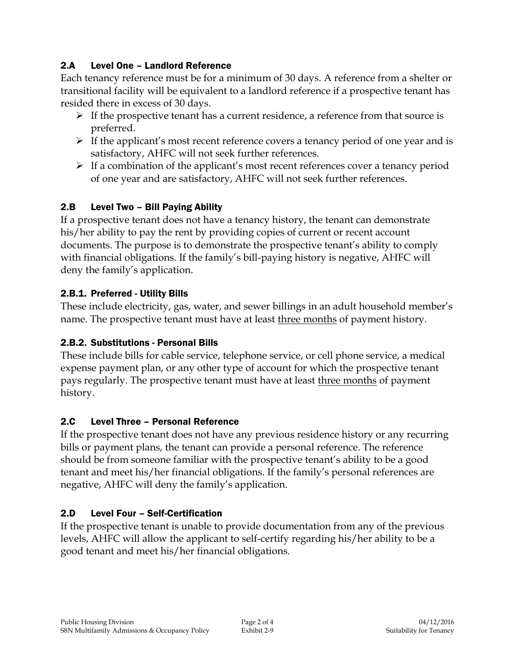### 2.A Level One – Landlord Reference

Each tenancy reference must be for a minimum of 30 days. A reference from a shelter or transitional facility will be equivalent to a landlord reference if a prospective tenant has resided there in excess of 30 days.

- $\triangleright$  If the prospective tenant has a current residence, a reference from that source is preferred.
- $\triangleright$  If the applicant's most recent reference covers a tenancy period of one year and is satisfactory, AHFC will not seek further references.
- $\triangleright$  If a combination of the applicant's most recent references cover a tenancy period of one year and are satisfactory, AHFC will not seek further references.

### 2.B Level Two – Bill Paying Ability

If a prospective tenant does not have a tenancy history, the tenant can demonstrate his/her ability to pay the rent by providing copies of current or recent account documents. The purpose is to demonstrate the prospective tenant's ability to comply with financial obligations. If the family's bill-paying history is negative, AHFC will deny the family's application.

#### 2.B.1. Preferred - Utility Bills

These include electricity, gas, water, and sewer billings in an adult household member's name. The prospective tenant must have at least three months of payment history.

#### 2.B.2. Substitutions - Personal Bills

These include bills for cable service, telephone service, or cell phone service, a medical expense payment plan, or any other type of account for which the prospective tenant pays regularly. The prospective tenant must have at least three months of payment history.

#### 2.C Level Three – Personal Reference

If the prospective tenant does not have any previous residence history or any recurring bills or payment plans, the tenant can provide a personal reference. The reference should be from someone familiar with the prospective tenant's ability to be a good tenant and meet his/her financial obligations. If the family's personal references are negative, AHFC will deny the family's application.

# 2.D Level Four – Self-Certification

If the prospective tenant is unable to provide documentation from any of the previous levels, AHFC will allow the applicant to self-certify regarding his/her ability to be a good tenant and meet his/her financial obligations.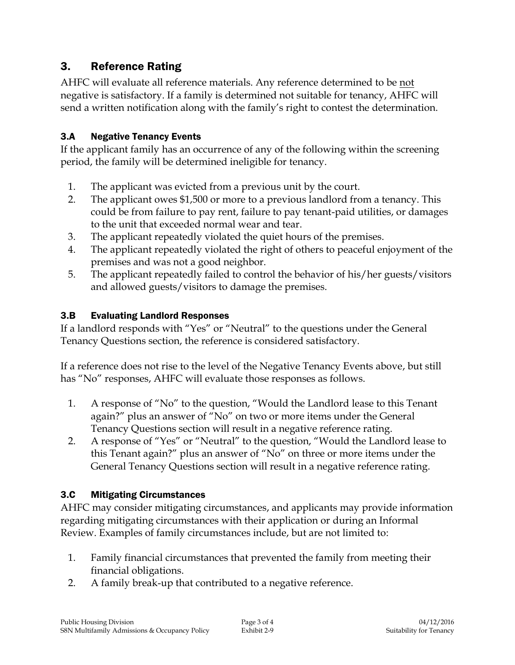# 3. Reference Rating

AHFC will evaluate all reference materials. Any reference determined to be not negative is satisfactory. If a family is determined not suitable for tenancy, AHFC will send a written notification along with the family's right to contest the determination.

### 3.A Negative Tenancy Events

If the applicant family has an occurrence of any of the following within the screening period, the family will be determined ineligible for tenancy.

- 1. The applicant was evicted from a previous unit by the court.
- 2. The applicant owes \$1,500 or more to a previous landlord from a tenancy. This could be from failure to pay rent, failure to pay tenant-paid utilities, or damages to the unit that exceeded normal wear and tear.
- 3. The applicant repeatedly violated the quiet hours of the premises.
- 4. The applicant repeatedly violated the right of others to peaceful enjoyment of the premises and was not a good neighbor.
- 5. The applicant repeatedly failed to control the behavior of his/her guests/visitors and allowed guests/visitors to damage the premises.

### 3.B Evaluating Landlord Responses

If a landlord responds with "Yes" or "Neutral" to the questions under the General Tenancy Questions section, the reference is considered satisfactory.

If a reference does not rise to the level of the Negative Tenancy Events above, but still has "No" responses, AHFC will evaluate those responses as follows.

- 1. A response of "No" to the question, "Would the Landlord lease to this Tenant again?" plus an answer of "No" on two or more items under the General Tenancy Questions section will result in a negative reference rating.
- 2. A response of "Yes" or "Neutral" to the question, "Would the Landlord lease to this Tenant again?" plus an answer of "No" on three or more items under the General Tenancy Questions section will result in a negative reference rating.

#### 3.C Mitigating Circumstances

AHFC may consider mitigating circumstances, and applicants may provide information regarding mitigating circumstances with their application or during an Informal Review. Examples of family circumstances include, but are not limited to:

- 1. Family financial circumstances that prevented the family from meeting their financial obligations.
- 2. A family break-up that contributed to a negative reference.